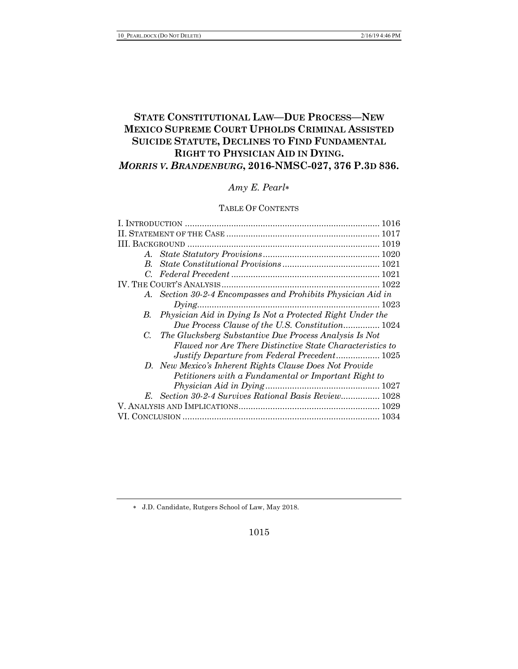# **STATE CONSTITUTIONAL LAW—DUE PROCESS—NEW MEXICO SUPREME COURT UPHOLDS CRIMINAL ASSISTED SUICIDE STATUTE, DECLINES TO FIND FUNDAMENTAL RIGHT TO PHYSICIAN AID IN DYING.** *MORRIS V. BRANDENBURG***, 2016-NMSC-027, 376 P.3D 836.**

# *Amy E. Pearl*\*

# TABLE OF CONTENTS

| A. Section 30-2-4 Encompasses and Prohibits Physician Aid in |  |
|--------------------------------------------------------------|--|
| $Dying$ 1023                                                 |  |
| B. Physician Aid in Dying Is Not a Protected Right Under the |  |
| Due Process Clause of the U.S. Constitution 1024             |  |
| C. The Glucksberg Substantive Due Process Analysis Is Not    |  |
| Flawed nor Are There Distinctive State Characteristics to    |  |
| Justify Departure from Federal Precedent 1025                |  |
| D. New Mexico's Inherent Rights Clause Does Not Provide      |  |
| Petitioners with a Fundamental or Important Right to         |  |
|                                                              |  |
| E. Section 30-2-4 Survives Rational Basis Review 1028        |  |
|                                                              |  |
|                                                              |  |
|                                                              |  |

\* J.D. Candidate, Rutgers School of Law, May 2018.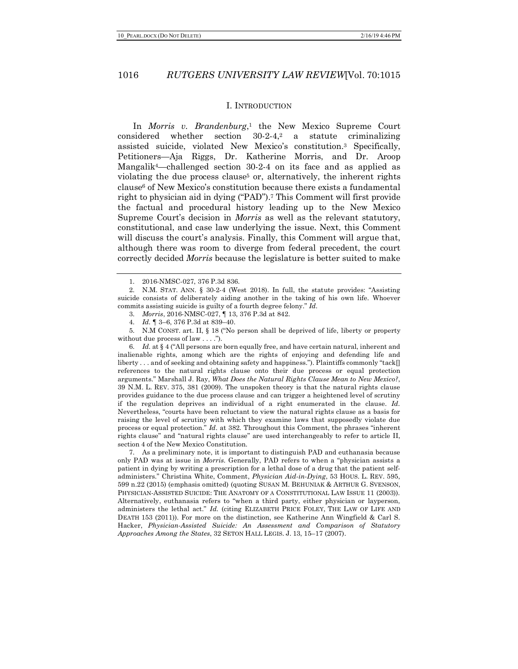#### I. INTRODUCTION

In *Morris v. Brandenburg*<sup>1</sup>, the New Mexico Supreme Court considered whether section 30-2-4,2 a statute criminalizing assisted suicide, violated New Mexico's constitution.3 Specifically, Petitioners—Aja Riggs, Dr. Katherine Morris, and Dr. Aroop Mangalik4—challenged section 30-2-4 on its face and as applied as violating the due process clause<sup>5</sup> or, alternatively, the inherent rights clause6 of New Mexico's constitution because there exists a fundamental right to physician aid in dying ("PAD").7 This Comment will first provide the factual and procedural history leading up to the New Mexico Supreme Court's decision in *Morris* as well as the relevant statutory, constitutional, and case law underlying the issue. Next, this Comment will discuss the court's analysis. Finally, this Comment will argue that, although there was room to diverge from federal precedent, the court correctly decided *Morris* because the legislature is better suited to make

3. *Morris*, 2016-NMSC-027, ¶ 13, 376 P.3d at 842.

4. *Id.* ¶ 3–6, 376 P.3d at 839–40.

5. N.M CONST. art. II, § 18 ("No person shall be deprived of life, liberty or property without due process of law . . . .").

6. *Id.* at § 4 ("All persons are born equally free, and have certain natural, inherent and inalienable rights, among which are the rights of enjoying and defending life and liberty . . . and of seeking and obtaining safety and happiness."). Plaintiffs commonly "tack[] references to the natural rights clause onto their due process or equal protection arguments." Marshall J. Ray, *What Does the Natural Rights Clause Mean to New Mexico?*, 39 N.M. L. REV. 375, 381 (2009). The unspoken theory is that the natural rights clause provides guidance to the due process clause and can trigger a heightened level of scrutiny if the regulation deprives an individual of a right enumerated in the clause. *Id.* Nevertheless, "courts have been reluctant to view the natural rights clause as a basis for raising the level of scrutiny with which they examine laws that supposedly violate due process or equal protection." *Id.* at 382. Throughout this Comment, the phrases "inherent rights clause" and "natural rights clause" are used interchangeably to refer to article II, section 4 of the New Mexico Constitution.

7. As a preliminary note, it is important to distinguish PAD and euthanasia because only PAD was at issue in *Morris.* Generally, PAD refers to when a "physician assists a patient in dying by writing a prescription for a lethal dose of a drug that the patient selfadministers." Christina White, Comment, *Physician Aid-in-Dying*, 53 HOUS. L. REV. 595, 599 n.22 (2015) (emphasis omitted) (quoting SUSAN M. BEHUNIAK & ARTHUR G. SVENSON, PHYSICIAN-ASSISTED SUICIDE: THE ANATOMY OF A CONSTITUTIONAL LAW ISSUE 11 (2003)). Alternatively, euthanasia refers to "when a third party, either physician or layperson, administers the lethal act." *Id.* (citing ELIZABETH PRICE FOLEY, THE LAW OF LIFE AND DEATH 153 (2011)). For more on the distinction, see Katherine Ann Wingfield & Carl S. Hacker, *Physician-Assisted Suicide: An Assessment and Comparison of Statutory Approaches Among the States*, 32 SETON HALL LEGIS. J. 13, 15–17 (2007).

<sup>1.</sup> 2016-NMSC-027, 376 P.3d 836.

<sup>2.</sup> N.M. STAT. ANN. § 30-2-4 (West 2018). In full, the statute provides: "Assisting suicide consists of deliberately aiding another in the taking of his own life. Whoever commits assisting suicide is guilty of a fourth degree felony." *Id.*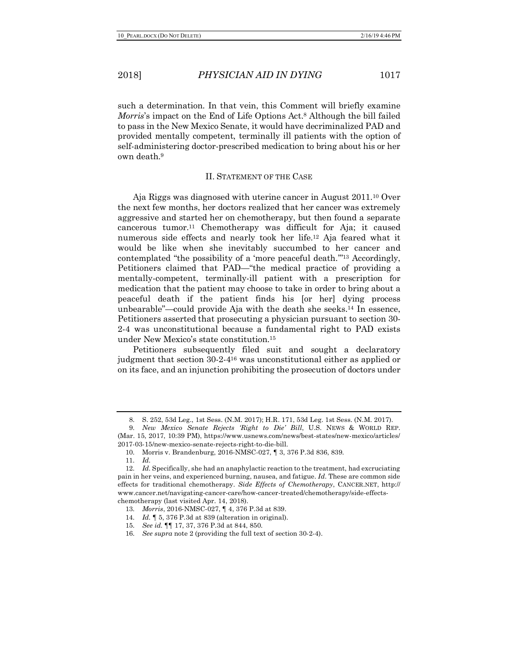such a determination. In that vein, this Comment will briefly examine *Morris*'s impact on the End of Life Options Act.<sup>8</sup> Although the bill failed to pass in the New Mexico Senate, it would have decriminalized PAD and provided mentally competent, terminally ill patients with the option of self-administering doctor-prescribed medication to bring about his or her own death.9

## II. STATEMENT OF THE CASE

Aja Riggs was diagnosed with uterine cancer in August 2011.10 Over the next few months, her doctors realized that her cancer was extremely aggressive and started her on chemotherapy, but then found a separate cancerous tumor.11 Chemotherapy was difficult for Aja; it caused numerous side effects and nearly took her life.12 Aja feared what it would be like when she inevitably succumbed to her cancer and contemplated "the possibility of a 'more peaceful death.'"13 Accordingly, Petitioners claimed that PAD—"the medical practice of providing a mentally-competent, terminally-ill patient with a prescription for medication that the patient may choose to take in order to bring about a peaceful death if the patient finds his [or her] dying process unbearable"—could provide Aja with the death she seeks.14 In essence, Petitioners asserted that prosecuting a physician pursuant to section 30- 2-4 was unconstitutional because a fundamental right to PAD exists under New Mexico's state constitution.15

Petitioners subsequently filed suit and sought a declaratory judgment that section 30-2-416 was unconstitutional either as applied or on its face, and an injunction prohibiting the prosecution of doctors under

<sup>8.</sup> S. 252, 53d Leg., 1st Sess. (N.M. 2017); H.R. 171, 53d Leg. 1st Sess. (N.M. 2017).

<sup>9.</sup> *New Mexico Senate Rejects 'Right to Die' Bill*, U.S. NEWS & WORLD REP. (Mar. 15, 2017, 10:39 PM), https://www.usnews.com/news/best-states/new-mexico/articles/ 2017-03-15/new-mexico-senate-rejects-right-to-die-bill.

<sup>10.</sup> Morris v. Brandenburg, 2016-NMSC-027, ¶ 3, 376 P.3d 836, 839.

<sup>11.</sup> *Id.*

<sup>12.</sup> *Id.* Specifically, she had an anaphylactic reaction to the treatment, had excruciating pain in her veins, and experienced burning, nausea, and fatigue. *Id.* These are common side effects for traditional chemotherapy. *Side Effects of Chemotherapy*, CANCER.NET, http:// www.cancer.net/navigating-cancer-care/how-cancer-treated/chemotherapy/side-effectschemotherapy (last visited Apr. 14, 2018).

<sup>13.</sup> *Morris*, 2016-NMSC-027, ¶ 4, 376 P.3d at 839.

<sup>14.</sup> *Id.* ¶ 5, 376 P.3d at 839 (alteration in original).

<sup>15.</sup> *See id.* ¶¶ 17, 37, 376 P.3d at 844, 850.

<sup>16.</sup> *See supra* note 2 (providing the full text of section 30-2-4).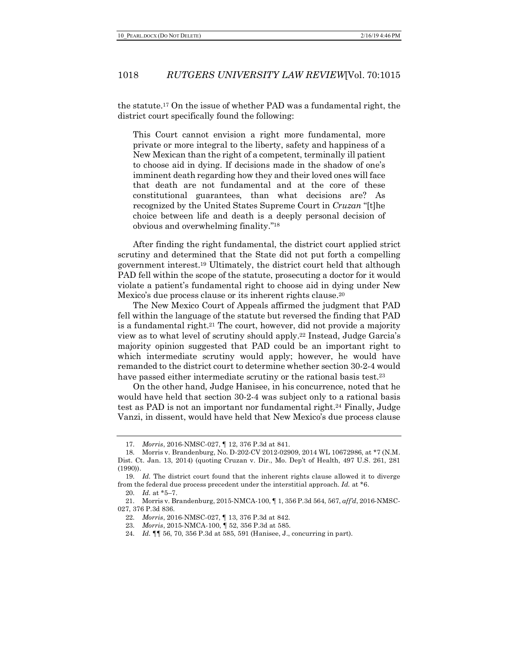the statute.17 On the issue of whether PAD was a fundamental right, the district court specifically found the following:

This Court cannot envision a right more fundamental, more private or more integral to the liberty, safety and happiness of a New Mexican than the right of a competent, terminally ill patient to choose aid in dying. If decisions made in the shadow of one's imminent death regarding how they and their loved ones will face that death are not fundamental and at the core of these constitutional guarantees, than what decisions are? As recognized by the United States Supreme Court in *Cruzan* "[t]he choice between life and death is a deeply personal decision of obvious and overwhelming finality."18

After finding the right fundamental, the district court applied strict scrutiny and determined that the State did not put forth a compelling government interest.19 Ultimately, the district court held that although PAD fell within the scope of the statute, prosecuting a doctor for it would violate a patient's fundamental right to choose aid in dying under New Mexico's due process clause or its inherent rights clause.<sup>20</sup>

The New Mexico Court of Appeals affirmed the judgment that PAD fell within the language of the statute but reversed the finding that PAD is a fundamental right.<sup>21</sup> The court, however, did not provide a majority view as to what level of scrutiny should apply.22 Instead, Judge Garcia's majority opinion suggested that PAD could be an important right to which intermediate scrutiny would apply; however, he would have remanded to the district court to determine whether section 30-2-4 would have passed either intermediate scrutiny or the rational basis test.<sup>23</sup>

On the other hand, Judge Hanisee, in his concurrence, noted that he would have held that section 30-2-4 was subject only to a rational basis test as PAD is not an important nor fundamental right.24 Finally, Judge Vanzi, in dissent, would have held that New Mexico's due process clause

20. *Id.* at \*5–7.

<sup>17.</sup> *Morris*, 2016-NMSC-027, ¶ 12, 376 P.3d at 841.

<sup>18.</sup> Morris v. Brandenburg, No. D-202-CV 2012-02909, 2014 WL 10672986, at \*7 (N.M. Dist. Ct. Jan. 13, 2014) (quoting Cruzan v. Dir., Mo. Dep't of Health, 497 U.S. 261, 281 (1990)).

<sup>19.</sup> *Id.* The district court found that the inherent rights clause allowed it to diverge from the federal due process precedent under the interstitial approach. *Id.* at \*6.

<sup>21.</sup> Morris v. Brandenburg, 2015-NMCA-100, ¶ 1, 356 P.3d 564, 567, *aff'd*, 2016-NMSC-027, 376 P.3d 836.

<sup>22.</sup> *Morris*, 2016-NMSC-027, ¶ 13, 376 P.3d at 842.

<sup>23.</sup> *Morris*, 2015-NMCA-100, ¶ 52, 356 P.3d at 585.

<sup>24.</sup> *Id.* ¶¶ 56, 70, 356 P.3d at 585, 591 (Hanisee, J., concurring in part).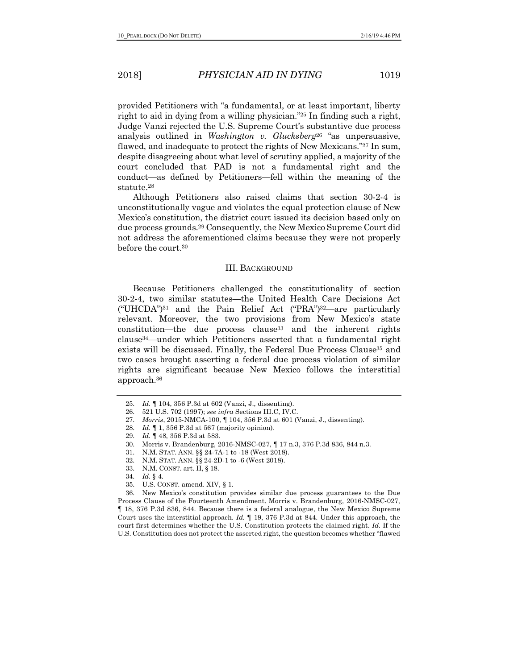provided Petitioners with "a fundamental, or at least important, liberty right to aid in dying from a willing physician."25 In finding such a right, Judge Vanzi rejected the U.S. Supreme Court's substantive due process analysis outlined in *Washington v. Glucksberg*<sup>26</sup> "as unpersuasive, flawed, and inadequate to protect the rights of New Mexicans."27 In sum, despite disagreeing about what level of scrutiny applied, a majority of the court concluded that PAD is not a fundamental right and the conduct—as defined by Petitioners—fell within the meaning of the statute.28

Although Petitioners also raised claims that section 30-2-4 is unconstitutionally vague and violates the equal protection clause of New Mexico's constitution, the district court issued its decision based only on due process grounds.29 Consequently, the New Mexico Supreme Court did not address the aforementioned claims because they were not properly before the court.30

#### III. BACKGROUND

Because Petitioners challenged the constitutionality of section 30-2-4, two similar statutes—the United Health Care Decisions Act ("UHCDA")31 and the Pain Relief Act ("PRA")32—are particularly relevant. Moreover, the two provisions from New Mexico's state constitution—the due process clause33 and the inherent rights clause34—under which Petitioners asserted that a fundamental right exists will be discussed. Finally, the Federal Due Process Clause35 and two cases brought asserting a federal due process violation of similar rights are significant because New Mexico follows the interstitial approach.36

<sup>25.</sup> *Id.* ¶ 104, 356 P.3d at 602 (Vanzi, J., dissenting).

<sup>26.</sup> 521 U.S. 702 (1997); *see infra* Sections III.C, IV.C.

<sup>27.</sup> *Morris*, 2015-NMCA-100, ¶ 104, 356 P.3d at 601 (Vanzi, J., dissenting)*.*

<sup>28.</sup> *Id.* ¶ 1, 356 P.3d at 567 (majority opinion).

<sup>29.</sup> *Id.* ¶ 48, 356 P.3d at 583.

<sup>30.</sup> Morris v. Brandenburg, 2016-NMSC-027, ¶ 17 n.3, 376 P.3d 836, 844 n.3.

<sup>31.</sup> N.M. STAT. ANN. §§ 24-7A-1 to -18 (West 2018).

<sup>32.</sup> N.M. STAT. ANN. §§ 24-2D-1 to -6 (West 2018).

<sup>33.</sup> N.M. CONST. art. II, § 18.

<sup>34.</sup> *Id.* § 4.

<sup>35.</sup> U.S. CONST. amend. XIV, § 1.

<sup>36.</sup> New Mexico's constitution provides similar due process guarantees to the Due Process Clause of the Fourteenth Amendment. Morris v. Brandenburg, 2016-NMSC-027, ¶ 18, 376 P.3d 836, 844. Because there is a federal analogue, the New Mexico Supreme Court uses the interstitial approach. *Id.* ¶ 19, 376 P.3d at 844. Under this approach, the court first determines whether the U.S. Constitution protects the claimed right. *Id.* If the U.S. Constitution does not protect the asserted right, the question becomes whether "flawed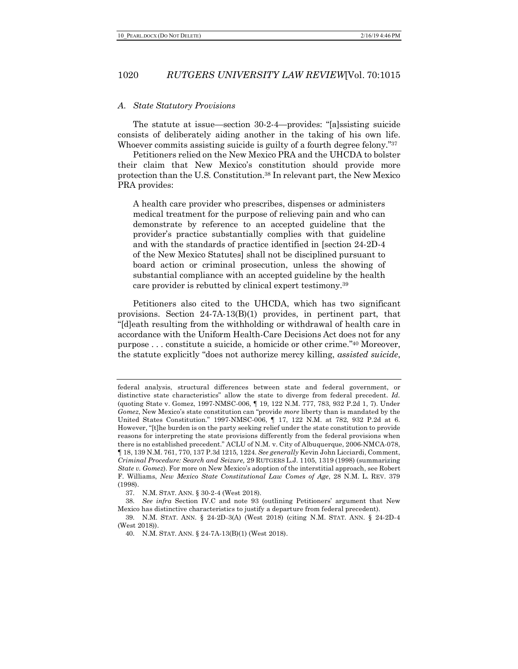#### *A. State Statutory Provisions*

The statute at issue—section 30-2-4—provides: "[a]ssisting suicide consists of deliberately aiding another in the taking of his own life. Whoever commits assisting suicide is guilty of a fourth degree felony.<sup>"37</sup>

Petitioners relied on the New Mexico PRA and the UHCDA to bolster their claim that New Mexico's constitution should provide more protection than the U.S. Constitution.38 In relevant part, the New Mexico PRA provides:

A health care provider who prescribes, dispenses or administers medical treatment for the purpose of relieving pain and who can demonstrate by reference to an accepted guideline that the provider's practice substantially complies with that guideline and with the standards of practice identified in [section 24-2D-4 of the New Mexico Statutes] shall not be disciplined pursuant to board action or criminal prosecution, unless the showing of substantial compliance with an accepted guideline by the health care provider is rebutted by clinical expert testimony.39

Petitioners also cited to the UHCDA, which has two significant provisions. Section 24-7A-13(B)(1) provides, in pertinent part, that "[d]eath resulting from the withholding or withdrawal of health care in accordance with the Uniform Health-Care Decisions Act does not for any purpose . . . constitute a suicide, a homicide or other crime."40 Moreover, the statute explicitly "does not authorize mercy killing, *assisted suicide*,

federal analysis, structural differences between state and federal government, or distinctive state characteristics" allow the state to diverge from federal precedent. *Id.* (quoting State v. Gomez, 1997-NMSC-006, ¶ 19, 122 N.M. 777, 783, 932 P.2d 1, 7). Under *Gomez*, New Mexico's state constitution can "provide *more* liberty than is mandated by the United States Constitution." 1997-NMSC-006, ¶ 17, 122 N.M. at 782, 932 P.2d at 6. However, "[t]he burden is on the party seeking relief under the state constitution to provide reasons for interpreting the state provisions differently from the federal provisions when there is no established precedent." ACLU of N.M. v. City of Albuquerque, 2006-NMCA-078, ¶ 18, 139 N.M. 761, 770, 137 P.3d 1215, 1224. *See generally* Kevin John Licciardi, Comment, *Criminal Procedure: Search and Seizure,* 29 RUTGERS L.J. 1105, 1319 (1998) (summarizing *State v. Gomez*). For more on New Mexico's adoption of the interstitial approach, see Robert F. Williams, *New Mexico State Constitutional Law Comes of Age*, 28 N.M. L. REV. 379 (1998).

<sup>37.</sup> N.M. STAT. ANN. § 30-2-4 (West 2018).

<sup>38.</sup> *See infra* Section IV.C and note 93 (outlining Petitioners' argument that New Mexico has distinctive characteristics to justify a departure from federal precedent).

<sup>39.</sup> N.M. STAT. ANN. § 24-2D-3(A) (West 2018) (citing N.M. STAT. ANN. § 24-2D-4 (West 2018))

<sup>40.</sup> N.M. STAT. ANN. § 24-7A-13(B)(1) (West 2018).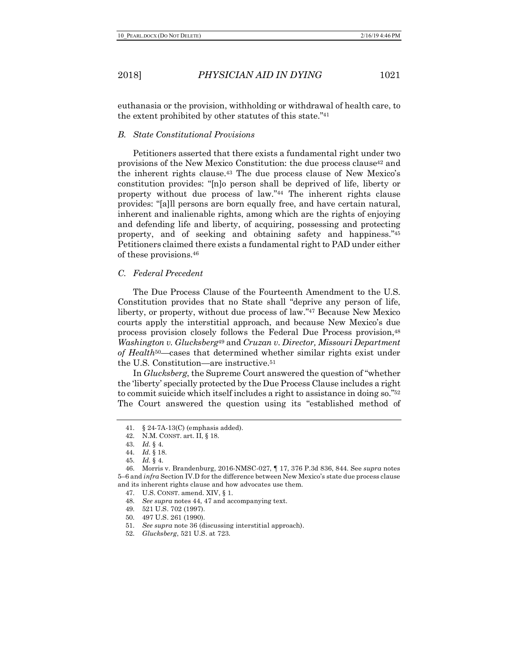euthanasia or the provision, withholding or withdrawal of health care, to the extent prohibited by other statutes of this state."41

#### *B. State Constitutional Provisions*

Petitioners asserted that there exists a fundamental right under two provisions of the New Mexico Constitution: the due process clause42 and the inherent rights clause.43 The due process clause of New Mexico's constitution provides: "[n]o person shall be deprived of life, liberty or property without due process of law."44 The inherent rights clause provides: "[a]ll persons are born equally free, and have certain natural, inherent and inalienable rights, among which are the rights of enjoying and defending life and liberty, of acquiring, possessing and protecting property, and of seeking and obtaining safety and happiness."45 Petitioners claimed there exists a fundamental right to PAD under either of these provisions.46

#### *C. Federal Precedent*

The Due Process Clause of the Fourteenth Amendment to the U.S. Constitution provides that no State shall "deprive any person of life, liberty, or property, without due process of law."47 Because New Mexico courts apply the interstitial approach, and because New Mexico's due process provision closely follows the Federal Due Process provision,48 *Washington v. Glucksberg*<sup>49</sup> and *Cruzan v. Director, Missouri Department of Health*50—cases that determined whether similar rights exist under the U.S. Constitution—are instructive.51

In *Glucksberg*, the Supreme Court answered the question of "whether the 'liberty' specially protected by the Due Process Clause includes a right to commit suicide which itself includes a right to assistance in doing so."52 The Court answered the question using its "established method of

<sup>41.</sup> § 24-7A-13(C) (emphasis added).

<sup>42.</sup> N.M. CONST. art. II, § 18.

<sup>43.</sup> *Id.* § 4.

<sup>44.</sup> *Id.* § 18.

<sup>45.</sup> *Id.* § 4.

<sup>46.</sup> Morris v. Brandenburg, 2016-NMSC-027, ¶ 17, 376 P.3d 836, 844. See *supra* notes 5–6 and *infra* Section IV.D for the difference between New Mexico's state due process clause and its inherent rights clause and how advocates use them.

<sup>47.</sup> U.S. CONST. amend. XIV, § 1.

<sup>48.</sup> *See supra* notes 44, 47 and accompanying text.

<sup>49.</sup> 521 U.S. 702 (1997).

<sup>50.</sup> 497 U.S. 261 (1990).

<sup>51.</sup> *See supra* note 36 (discussing interstitial approach).

<sup>52.</sup> *Glucksberg*, 521 U.S. at 723.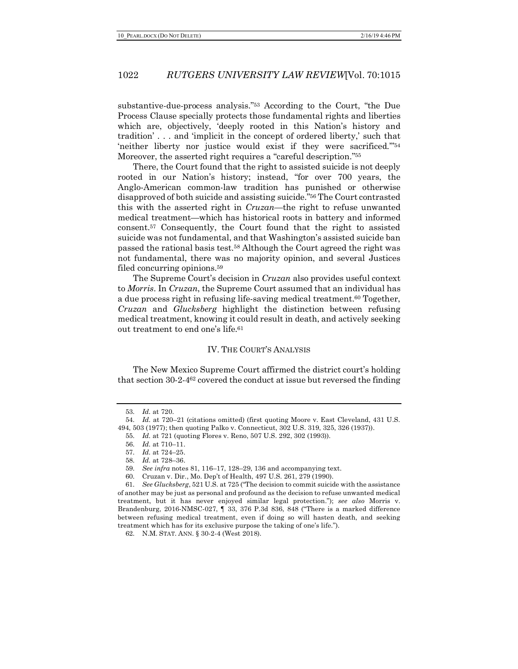substantive-due-process analysis."53 According to the Court, "the Due Process Clause specially protects those fundamental rights and liberties which are, objectively, 'deeply rooted in this Nation's history and tradition' . . . and 'implicit in the concept of ordered liberty,' such that 'neither liberty nor justice would exist if they were sacrificed.'"54 Moreover, the asserted right requires a "careful description."55

There, the Court found that the right to assisted suicide is not deeply rooted in our Nation's history; instead, "for over 700 years, the Anglo-American common-law tradition has punished or otherwise disapproved of both suicide and assisting suicide."56 The Court contrasted this with the asserted right in *Cruzan*—the right to refuse unwanted medical treatment—which has historical roots in battery and informed consent.57 Consequently, the Court found that the right to assisted suicide was not fundamental, and that Washington's assisted suicide ban passed the rational basis test.58 Although the Court agreed the right was not fundamental, there was no majority opinion, and several Justices filed concurring opinions.59

The Supreme Court's decision in *Cruzan* also provides useful context to *Morris*. In *Cruzan*, the Supreme Court assumed that an individual has a due process right in refusing life-saving medical treatment.60 Together, *Cruzan* and *Glucksberg* highlight the distinction between refusing medical treatment, knowing it could result in death, and actively seeking out treatment to end one's life.61

#### IV. THE COURT'S ANALYSIS

The New Mexico Supreme Court affirmed the district court's holding that section 30-2-462 covered the conduct at issue but reversed the finding

<sup>53.</sup> *Id.* at 720.

<sup>54.</sup> *Id.* at 720–21 (citations omitted) (first quoting Moore v. East Cleveland, 431 U.S. 494, 503 (1977); then quoting Palko v. Connecticut, 302 U.S. 319, 325, 326 (1937)).

<sup>55.</sup> *Id.* at 721 (quoting Flores v. Reno, 507 U.S. 292, 302 (1993)).

<sup>56.</sup> *Id.* at 710–11.

<sup>57.</sup> *Id.* at 724–25.

<sup>58.</sup> *Id.* at 728–36.

<sup>59.</sup> *See infra* notes 81, 116–17, 128–29, 136 and accompanying text.

<sup>60.</sup> Cruzan v. Dir., Mo. Dep't of Health, 497 U.S. 261, 279 (1990).

<sup>61.</sup> *See Glucksberg*, 521 U.S. at 725 ("The decision to commit suicide with the assistance of another may be just as personal and profound as the decision to refuse unwanted medical treatment, but it has never enjoyed similar legal protection."); *see also* Morris v. Brandenburg, 2016-NMSC-027, ¶ 33, 376 P.3d 836, 848 ("There is a marked difference between refusing medical treatment, even if doing so will hasten death, and seeking treatment which has for its exclusive purpose the taking of one's life.").

<sup>62.</sup> N.M. STAT. ANN. § 30-2-4 (West 2018).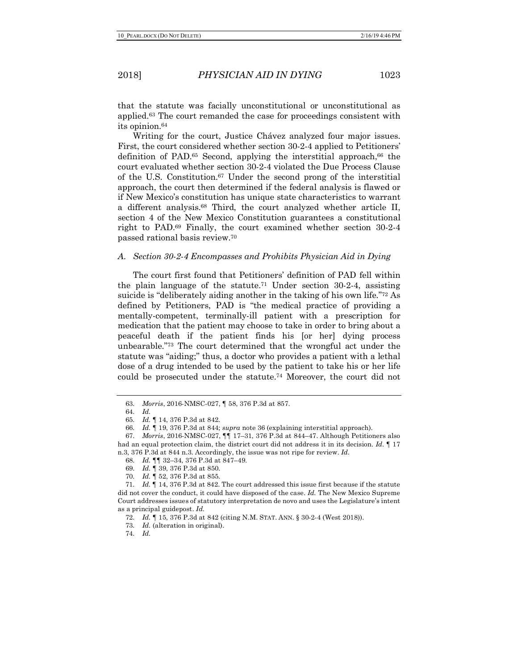that the statute was facially unconstitutional or unconstitutional as applied.63 The court remanded the case for proceedings consistent with its opinion.64

Writing for the court, Justice Chávez analyzed four major issues. First, the court considered whether section 30-2-4 applied to Petitioners' definition of PAD.<sup>65</sup> Second, applying the interstitial approach,<sup>66</sup> the court evaluated whether section 30-2-4 violated the Due Process Clause of the U.S. Constitution.67 Under the second prong of the interstitial approach, the court then determined if the federal analysis is flawed or if New Mexico's constitution has unique state characteristics to warrant a different analysis.68 Third, the court analyzed whether article II, section 4 of the New Mexico Constitution guarantees a constitutional right to PAD.69 Finally, the court examined whether section 30-2-4 passed rational basis review.70

#### *A. Section 30-2-4 Encompasses and Prohibits Physician Aid in Dying*

The court first found that Petitioners' definition of PAD fell within the plain language of the statute.<sup>71</sup> Under section  $30-2-4$ , assisting suicide is "deliberately aiding another in the taking of his own life."72 As defined by Petitioners, PAD is "the medical practice of providing a mentally-competent, terminally-ill patient with a prescription for medication that the patient may choose to take in order to bring about a peaceful death if the patient finds his [or her] dying process unbearable."73 The court determined that the wrongful act under the statute was "aiding;" thus, a doctor who provides a patient with a lethal dose of a drug intended to be used by the patient to take his or her life could be prosecuted under the statute.74 Moreover, the court did not

<sup>63.</sup> *Morris*, 2016-NMSC-027, ¶ 58, 376 P.3d at 857.

<sup>64.</sup> *Id.*

<sup>65.</sup> *Id.* ¶ 14, 376 P.3d at 842.

<sup>66.</sup> *Id.* ¶ 19, 376 P.3d at 844; *supra* note 36 (explaining interstitial approach).

<sup>67.</sup> *Morris*, 2016-NMSC-027, ¶¶ 17–31, 376 P.3d at 844–47. Although Petitioners also had an equal protection claim, the district court did not address it in its decision. *Id.* ¶ 17 n.3, 376 P.3d at 844 n.3. Accordingly, the issue was not ripe for review. *Id.*

<sup>68.</sup> *Id.* ¶¶ 32–34, 376 P.3d at 847–49.

<sup>69.</sup> *Id.* ¶ 39, 376 P.3d at 850.

<sup>70.</sup> *Id.* ¶ 52, 376 P.3d at 855.

<sup>71.</sup> *Id.* ¶ 14, 376 P.3d at 842. The court addressed this issue first because if the statute did not cover the conduct, it could have disposed of the case. *Id.* The New Mexico Supreme Court addresses issues of statutory interpretation de novo and uses the Legislature's intent as a principal guidepost. *Id.*

<sup>72.</sup> *Id.* ¶ 15, 376 P.3d at 842 (citing N.M. STAT. ANN. § 30-2-4 (West 2018)).

<sup>73.</sup> *Id.* (alteration in original).

<sup>74.</sup> *Id.*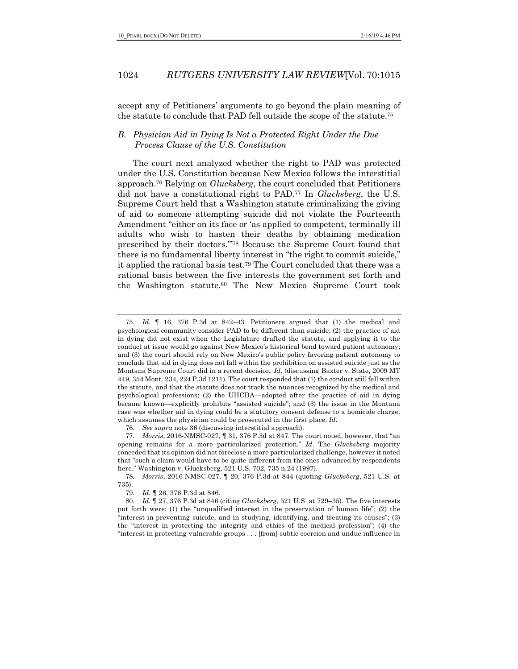accept any of Petitioners' arguments to go beyond the plain meaning of the statute to conclude that PAD fell outside the scope of the statute.75

# *B. Physician Aid in Dying Is Not a Protected Right Under the Due Process Clause of the U.S. Constitution*

The court next analyzed whether the right to PAD was protected under the U.S. Constitution because New Mexico follows the interstitial approach.76 Relying on *Glucksberg*, the court concluded that Petitioners did not have a constitutional right to PAD.77 In *Glucksberg*, the U.S. Supreme Court held that a Washington statute criminalizing the giving of aid to someone attempting suicide did not violate the Fourteenth Amendment "either on its face or 'as applied to competent, terminally ill adults who wish to hasten their deaths by obtaining medication prescribed by their doctors.'"78 Because the Supreme Court found that there is no fundamental liberty interest in "the right to commit suicide," it applied the rational basis test.79 The Court concluded that there was a rational basis between the five interests the government set forth and the Washington statute.80 The New Mexico Supreme Court took

<sup>75.</sup> *Id.* ¶ 16, 376 P.3d at 842–43. Petitioners argued that (1) the medical and psychological community consider PAD to be different than suicide; (2) the practice of aid in dying did not exist when the Legislature drafted the statute, and applying it to the conduct at issue would go against New Mexico's historical bend toward patient autonomy; and (3) the court should rely on New Mexico's public policy favoring patient autonomy to conclude that aid in dying does not fall within the prohibition on assisted suicide just as the Montana Supreme Court did in a recent decision. *Id.* (discussing Baxter v. State, 2009 MT 449, 354 Mont. 234, 224 P.3d 1211). The court responded that (1) the conduct still fell within the statute, and that the statute does not track the nuances recognized by the medical and psychological professions; (2) the UHCDA—adopted after the practice of aid in dying became known—explicitly prohibits "assisted suicide"; and (3) the issue in the Montana case was whether aid in dying could be a statutory consent defense to a homicide charge, which assumes the physician could be prosecuted in the first place. *Id.*

<sup>76.</sup> *See supra* note 36 (discussing interstitial approach).

<sup>77.</sup> *Morris*, 2016-NMSC-027, ¶ 31, 376 P.3d at 847. The court noted, however, that "an opening remains for a more particularized protection." *Id.* The *Glucksberg* majority conceded that its opinion did not foreclose a more particularized challenge, however it noted that "such a claim would have to be quite different from the ones advanced by respondents here." Washington v. Glucksberg, 521 U.S. 702, 735 n.24 (1997).

<sup>78.</sup> *Morris*, 2016-NMSC-027, ¶ 20, 376 P.3d at 844 (quoting *Glucksberg*, 521 U.S. at 735).

<sup>79.</sup> *Id.* ¶ 26, 376 P.3d at 846.

<sup>80.</sup> *Id.* ¶ 27, 376 P.3d at 846 (citing *Glucksberg*, 521 U.S. at 729–35). The five interests put forth were: (1) the "unqualified interest in the preservation of human life"; (2) the "interest in preventing suicide, and in studying, identifying, and treating its causes"; (3) the "interest in protecting the integrity and ethics of the medical profession"; (4) the "interest in protecting vulnerable groups . . . [from] subtle coercion and undue influence in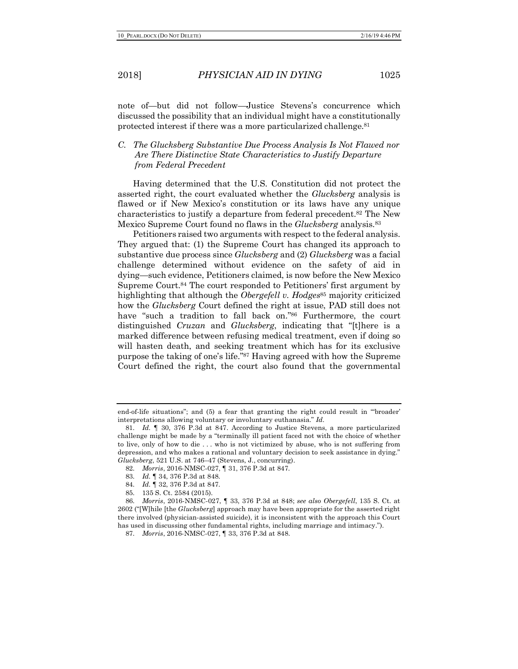note of—but did not follow—Justice Stevens's concurrence which discussed the possibility that an individual might have a constitutionally protected interest if there was a more particularized challenge.81

# *C. The Glucksberg Substantive Due Process Analysis Is Not Flawed nor Are There Distinctive State Characteristics to Justify Departure from Federal Precedent*

Having determined that the U.S. Constitution did not protect the asserted right, the court evaluated whether the *Glucksberg* analysis is flawed or if New Mexico's constitution or its laws have any unique characteristics to justify a departure from federal precedent.82 The New Mexico Supreme Court found no flaws in the *Glucksberg* analysis.83

Petitioners raised two arguments with respect to the federal analysis. They argued that: (1) the Supreme Court has changed its approach to substantive due process since *Glucksberg* and (2) *Glucksberg* was a facial challenge determined without evidence on the safety of aid in dying—such evidence, Petitioners claimed, is now before the New Mexico Supreme Court.84 The court responded to Petitioners' first argument by highlighting that although the *Obergefell v. Hodges*<sup>85</sup> majority criticized how the *Glucksberg* Court defined the right at issue, PAD still does not have "such a tradition to fall back on."86 Furthermore, the court distinguished *Cruzan* and *Glucksberg*, indicating that "[t]here is a marked difference between refusing medical treatment, even if doing so will hasten death, and seeking treatment which has for its exclusive purpose the taking of one's life."87 Having agreed with how the Supreme Court defined the right, the court also found that the governmental

end-of-life situations"; and (5) a fear that granting the right could result in "'broader' interpretations allowing voluntary or involuntary euthanasia." *Id.*

<sup>81.</sup> *Id.* ¶ 30, 376 P.3d at 847. According to Justice Stevens, a more particularized challenge might be made by a "terminally ill patient faced not with the choice of whether to live, only of how to die . . . who is not victimized by abuse, who is not suffering from depression, and who makes a rational and voluntary decision to seek assistance in dying." *Glucksberg*, 521 U.S. at 746–47 (Stevens, J., concurring).

<sup>82.</sup> *Morris*, 2016-NMSC-027, ¶ 31, 376 P.3d at 847*.*

<sup>83.</sup> *Id.* ¶ 34, 376 P.3d at 848.

<sup>84.</sup> *Id.* ¶ 32, 376 P.3d at 847.

<sup>85.</sup> 135 S. Ct. 2584 (2015).

<sup>86.</sup> *Morris*, 2016-NMSC-027, ¶ 33, 376 P.3d at 848; *see also Obergefell*, 135 S. Ct. at 2602 ("[W]hile [the *Glucksberg*] approach may have been appropriate for the asserted right there involved (physician-assisted suicide), it is inconsistent with the approach this Court has used in discussing other fundamental rights, including marriage and intimacy.").

<sup>87.</sup> *Morris*, 2016-NMSC-027, ¶ 33, 376 P.3d at 848.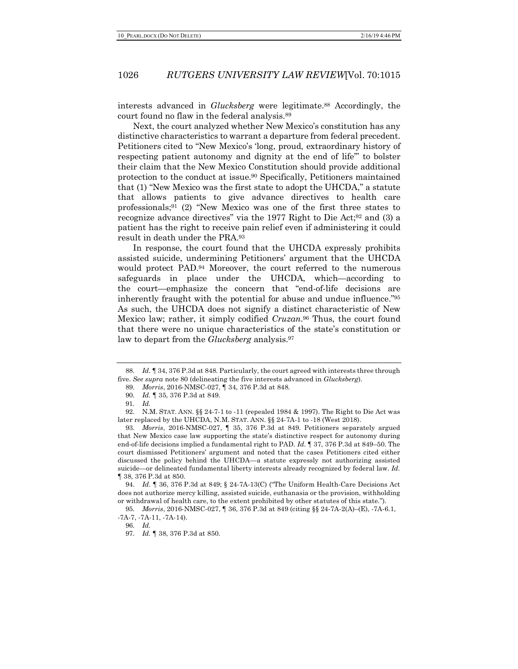interests advanced in *Glucksberg* were legitimate.88 Accordingly, the court found no flaw in the federal analysis.89

Next, the court analyzed whether New Mexico's constitution has any distinctive characteristics to warrant a departure from federal precedent. Petitioners cited to "New Mexico's 'long, proud, extraordinary history of respecting patient autonomy and dignity at the end of life'" to bolster their claim that the New Mexico Constitution should provide additional protection to the conduct at issue.90 Specifically, Petitioners maintained that (1) "New Mexico was the first state to adopt the UHCDA," a statute that allows patients to give advance directives to health care professionals;<sup>91</sup> (2) "New Mexico was one of the first three states to recognize advance directives" via the 1977 Right to Die Act;92 and (3) a patient has the right to receive pain relief even if administering it could result in death under the PRA.93

In response, the court found that the UHCDA expressly prohibits assisted suicide, undermining Petitioners' argument that the UHCDA would protect PAD.94 Moreover, the court referred to the numerous safeguards in place under the UHCDA, which—according to the court—emphasize the concern that "end-of-life decisions are inherently fraught with the potential for abuse and undue influence."95 As such, the UHCDA does not signify a distinct characteristic of New Mexico law; rather, it simply codified *Cruzan*.96 Thus, the court found that there were no unique characteristics of the state's constitution or law to depart from the *Glucksberg* analysis.97

94. *Id*. ¶ 36, 376 P.3d at 849; § 24-7A-13(C) ("The Uniform Health-Care Decisions Act does not authorize mercy killing, assisted suicide, euthanasia or the provision, withholding or withdrawal of health care, to the extent prohibited by other statutes of this state.").

<sup>88.</sup> *Id.* ¶ 34, 376 P.3d at 848. Particularly, the court agreed with interests three through five. *See supra* note 80 (delineating the five interests advanced in *Glucksberg*).

<sup>89.</sup> *Morris*, 2016-NMSC-027, ¶ 34, 376 P.3d at 848*.*

<sup>90.</sup> *Id.* ¶ 35, 376 P.3d at 849.

<sup>91.</sup> *Id.*

<sup>92.</sup> N.M. STAT. ANN. §§ 24-7-1 to -11 (repealed 1984 & 1997). The Right to Die Act was later replaced by the UHCDA, N.M. STAT. ANN. §§ 24-7A-1 to -18 (West 2018).

<sup>93.</sup> *Morris*, 2016-NMSC-027, ¶ 35, 376 P.3d at 849. Petitioners separately argued that New Mexico case law supporting the state's distinctive respect for autonomy during end-of-life decisions implied a fundamental right to PAD. *Id.* ¶ 37, 376 P.3d at 849–50. The court dismissed Petitioners' argument and noted that the cases Petitioners cited either discussed the policy behind the UHCDA—a statute expressly not authorizing assisted suicide—or delineated fundamental liberty interests already recognized by federal law. *Id.*  ¶ 38, 376 P.3d at 850.

<sup>95.</sup> *Morris*, 2016-NMSC-027, ¶ 36, 376 P.3d at 849 (citing §§ 24-7A-2(A)–(E), -7A-6.1, -7A-7, -7A-11, -7A-14).

<sup>96.</sup> *Id.*

<sup>97.</sup> *Id.* ¶ 38, 376 P.3d at 850.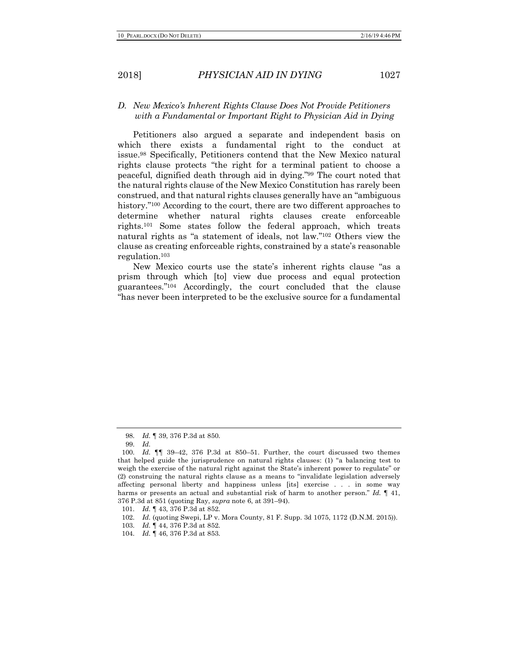# *D. New Mexico's Inherent Rights Clause Does Not Provide Petitioners with a Fundamental or Important Right to Physician Aid in Dying*

Petitioners also argued a separate and independent basis on which there exists a fundamental right to the conduct at issue.98 Specifically, Petitioners contend that the New Mexico natural rights clause protects "the right for a terminal patient to choose a peaceful, dignified death through aid in dying."99 The court noted that the natural rights clause of the New Mexico Constitution has rarely been construed, and that natural rights clauses generally have an "ambiguous history."<sup>100</sup> According to the court, there are two different approaches to determine whether natural rights clauses create enforceable rights.101 Some states follow the federal approach, which treats natural rights as "a statement of ideals, not law."102 Others view the clause as creating enforceable rights, constrained by a state's reasonable regulation.103

New Mexico courts use the state's inherent rights clause "as a prism through which [to] view due process and equal protection guarantees."104 Accordingly, the court concluded that the clause "has never been interpreted to be the exclusive source for a fundamental

<sup>98.</sup> *Id.* ¶ 39, 376 P.3d at 850.

<sup>99.</sup> *Id.*

<sup>100.</sup> *Id.* ¶¶ 39–42, 376 P.3d at 850–51. Further, the court discussed two themes that helped guide the jurisprudence on natural rights clauses: (1) "a balancing test to weigh the exercise of the natural right against the State's inherent power to regulate" or (2) construing the natural rights clause as a means to "invalidate legislation adversely affecting personal liberty and happiness unless [its] exercise . . . in some way harms or presents an actual and substantial risk of harm to another person." *Id.* ¶ 41, 376 P.3d at 851 (quoting Ray, *supra* note 6, at 391–94).

<sup>101.</sup> *Id.* ¶ 43, 376 P.3d at 852.

<sup>102.</sup> *Id.* (quoting Swepi, LP v. Mora County, 81 F. Supp. 3d 1075, 1172 (D.N.M. 2015)).

<sup>103.</sup> *Id.* ¶ 44, 376 P.3d at 852.

<sup>104.</sup> *Id.* ¶ 46, 376 P.3d at 853.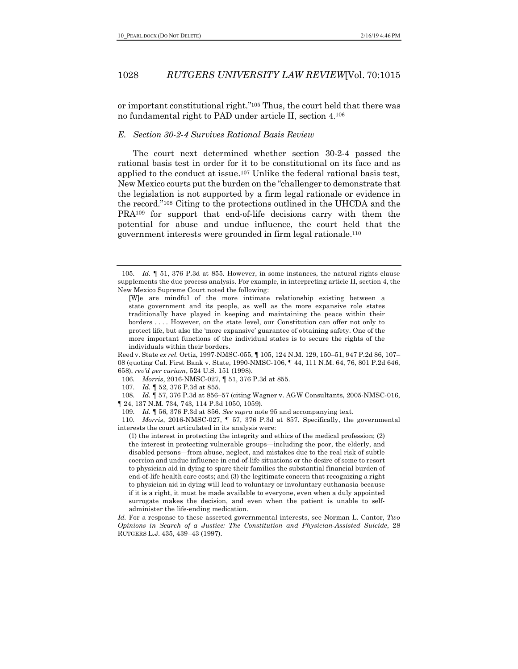or important constitutional right."105 Thus, the court held that there was no fundamental right to PAD under article II, section 4.106

## *E. Section 30-2-4 Survives Rational Basis Review*

The court next determined whether section 30-2-4 passed the rational basis test in order for it to be constitutional on its face and as applied to the conduct at issue.107 Unlike the federal rational basis test, New Mexico courts put the burden on the "challenger to demonstrate that the legislation is not supported by a firm legal rationale or evidence in the record."108 Citing to the protections outlined in the UHCDA and the PRA109 for support that end-of-life decisions carry with them the potential for abuse and undue influence, the court held that the government interests were grounded in firm legal rationale.110

Reed v. State *ex rel.* Ortiz, 1997-NMSC-055, ¶ 105, 124 N.M. 129, 150–51, 947 P.2d 86, 107– 08 (quoting Cal. First Bank v. State, 1990-NMSC-106, ¶ 44, 111 N.M. 64, 76, 801 P.2d 646, 658), *rev'd per curiam*, 524 U.S. 151 (1998).

106. *Morris*, 2016-NMSC-027, ¶ 51, 376 P.3d at 855.

108. *Id.* ¶ 57, 376 P.3d at 856–57 (citing Wagner v. AGW Consultants, 2005-NMSC-016, ¶ 24, 137 N.M. 734, 743, 114 P.3d 1050, 1059).

110. *Morris*, 2016-NMSC-027, ¶ 57, 376 P.3d at 857. Specifically, the governmental interests the court articulated in its analysis were:

(1) the interest in protecting the integrity and ethics of the medical profession; (2) the interest in protecting vulnerable groups—including the poor, the elderly, and disabled persons—from abuse, neglect, and mistakes due to the real risk of subtle coercion and undue influence in end-of-life situations or the desire of some to resort to physician aid in dying to spare their families the substantial financial burden of end-of-life health care costs; and (3) the legitimate concern that recognizing a right to physician aid in dying will lead to voluntary or involuntary euthanasia because if it is a right, it must be made available to everyone, even when a duly appointed surrogate makes the decision, and even when the patient is unable to selfadminister the life-ending medication.

*Id.* For a response to these asserted governmental interests, see Norman L. Cantor, *Two Opinions in Search of a Justice: The Constitution and Physician-Assisted Suicide*, 28 RUTGERS L.J. 435, 439–43 (1997).

<sup>105.</sup> *Id.* ¶ 51, 376 P.3d at 855. However, in some instances, the natural rights clause supplements the due process analysis. For example, in interpreting article II, section 4, the New Mexico Supreme Court noted the following:

<sup>[</sup>W]e are mindful of the more intimate relationship existing between a state government and its people, as well as the more expansive role states traditionally have played in keeping and maintaining the peace within their borders . . . . However, on the state level, our Constitution can offer not only to protect life, but also the 'more expansive' guarantee of obtaining safety. One of the more important functions of the individual states is to secure the rights of the individuals within their borders.

<sup>107.</sup> *Id.* ¶ 52, 376 P.3d at 855.

<sup>109.</sup> *Id.* ¶ 56, 376 P.3d at 856. *See supra* note 95 and accompanying text.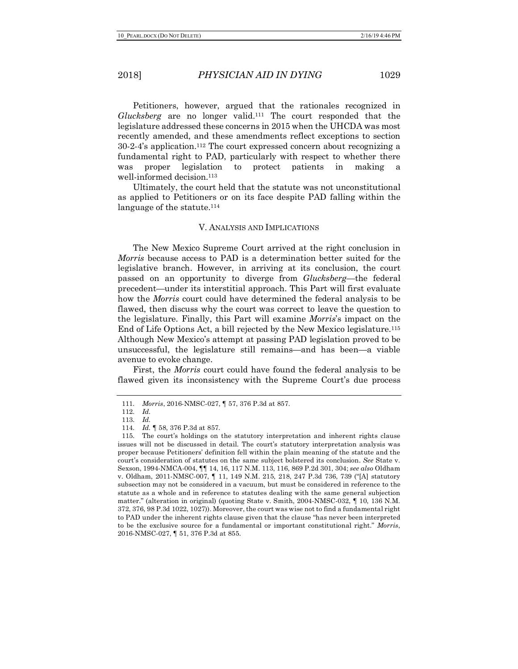Petitioners, however, argued that the rationales recognized in *Glucksberg* are no longer valid.111 The court responded that the legislature addressed these concerns in 2015 when the UHCDA was most recently amended, and these amendments reflect exceptions to section 30-2-4's application.112 The court expressed concern about recognizing a fundamental right to PAD, particularly with respect to whether there was proper legislation to protect patients in making a well-informed decision.113

Ultimately, the court held that the statute was not unconstitutional as applied to Petitioners or on its face despite PAD falling within the language of the statute.<sup>114</sup>

# V. ANALYSIS AND IMPLICATIONS

The New Mexico Supreme Court arrived at the right conclusion in *Morris* because access to PAD is a determination better suited for the legislative branch. However, in arriving at its conclusion, the court passed on an opportunity to diverge from *Glucksberg*—the federal precedent—under its interstitial approach. This Part will first evaluate how the *Morris* court could have determined the federal analysis to be flawed, then discuss why the court was correct to leave the question to the legislature. Finally, this Part will examine *Morris*'s impact on the End of Life Options Act, a bill rejected by the New Mexico legislature.115 Although New Mexico's attempt at passing PAD legislation proved to be unsuccessful, the legislature still remains—and has been—a viable avenue to evoke change.

First, the *Morris* court could have found the federal analysis to be flawed given its inconsistency with the Supreme Court's due process

<sup>111.</sup> *Morris*, 2016-NMSC-027, ¶ 57, 376 P.3d at 857.

<sup>112.</sup> *Id.*

<sup>113.</sup> *Id.* 114. *Id.* ¶ 58, 376 P.3d at 857.

<sup>115.</sup> The court's holdings on the statutory interpretation and inherent rights clause issues will not be discussed in detail. The court's statutory interpretation analysis was proper because Petitioners' definition fell within the plain meaning of the statute and the court's consideration of statutes on the same subject bolstered its conclusion. *See* State v. Sexson, 1994-NMCA-004, ¶¶ 14, 16, 117 N.M. 113, 116, 869 P.2d 301, 304; *see also* Oldham v. Oldham, 2011-NMSC-007, ¶ 11, 149 N.M. 215, 218, 247 P.3d 736, 739 ("[A] statutory subsection may not be considered in a vacuum, but must be considered in reference to the statute as a whole and in reference to statutes dealing with the same general subjection matter." (alteration in original) (quoting State v. Smith, 2004-NMSC-032, ¶ 10, 136 N.M. 372, 376, 98 P.3d 1022, 1027)). Moreover, the court was wise not to find a fundamental right to PAD under the inherent rights clause given that the clause "has never been interpreted to be the exclusive source for a fundamental or important constitutional right." *Morris*, 2016-NMSC-027, ¶ 51, 376 P.3d at 855.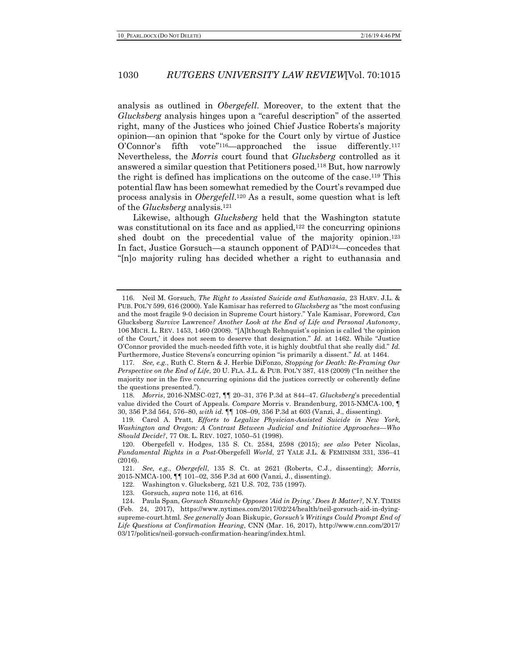analysis as outlined in *Obergefell*. Moreover, to the extent that the *Glucksberg* analysis hinges upon a "careful description" of the asserted right, many of the Justices who joined Chief Justice Roberts's majority opinion—an opinion that "spoke for the Court only by virtue of Justice O'Connor's fifth vote"<sup>116</sup>—approached the issue differently.<sup>117</sup> Nevertheless, the *Morris* court found that *Glucksberg* controlled as it answered a similar question that Petitioners posed.118 But, how narrowly the right is defined has implications on the outcome of the case.119 This potential flaw has been somewhat remedied by the Court's revamped due process analysis in *Obergefell*.120 As a result, some question what is left of the *Glucksberg* analysis.121

Likewise, although *Glucksberg* held that the Washington statute was constitutional on its face and as applied,<sup>122</sup> the concurring opinions shed doubt on the precedential value of the majority opinion.<sup>123</sup> In fact, Justice Gorsuch—a staunch opponent of PAD124—concedes that "[n]o majority ruling has decided whether a right to euthanasia and

<sup>116.</sup> Neil M. Gorsuch, *The Right to Assisted Suicide and Euthanasia*, 23 HARV. J.L. & PUB. POL'Y 599, 616 (2000). Yale Kamisar has referred to *Glucksberg* as "the most confusing and the most fragile 9-0 decision in Supreme Court history." Yale Kamisar, Foreword, *Can*  Glucksberg *Survive* Lawrence*? Another Look at the End of Life and Personal Autonomy*, 106 MICH. L. REV. 1453, 1460 (2008). "[A]lthough Rehnquist's opinion is called 'the opinion of the Court,' it does not seem to deserve that designation." *Id.* at 1462. While "Justice O'Connor provided the much-needed fifth vote, it is highly doubtful that she really did." *Id.* Furthermore, Justice Stevens's concurring opinion "is primarily a dissent." *Id.* at 1464.

<sup>117.</sup> *See, e.g.*, Ruth C. Stern & J. Herbie DiFonzo, *Stopping for Death: Re-Framing Our Perspective on the End of Life*, 20 U. FLA. J.L. & PUB. POL'Y 387, 418 (2009) ("In neither the majority nor in the five concurring opinions did the justices correctly or coherently define the questions presented.").

<sup>118.</sup> *Morris*, 2016-NMSC-027, ¶¶ 20–31, 376 P.3d at 844–47. *Glucksberg*'s precedential value divided the Court of Appeals. *Compare* Morris v. Brandenburg, 2015-NMCA-100, ¶ 30, 356 P.3d 564, 576–80, *with id.* ¶¶ 108–09, 356 P.3d at 603 (Vanzi, J., dissenting).

<sup>119.</sup> Carol A. Pratt, *Efforts to Legalize Physician-Assisted Suicide in New York, Washington and Oregon: A Contrast Between Judicial and Initiative Approaches*—*Who Should Decide?*, 77 OR. L. REV. 1027, 1050–51 (1998).

<sup>120.</sup> Obergefell v. Hodges, 135 S. Ct. 2584, 2598 (2015); *see also* Peter Nicolas, *Fundamental Rights in a Post-*Obergefell *World*, 27 YALE J.L. & FEMINISM 331, 336–41 (2016).

<sup>121.</sup> *See, e.g.*, *Obergefell*, 135 S. Ct. at 2621 (Roberts, C.J., dissenting); *Morris*, 2015-NMCA-100, ¶¶ 101–02, 356 P.3d at 600 (Vanzi, J., dissenting).

<sup>122.</sup> Washington v. Glucksberg, 521 U.S. 702, 735 (1997).

<sup>123.</sup> Gorsuch, *supra* note 116, at 616.

<sup>124.</sup> Paula Span, *Gorsuch Staunchly Opposes 'Aid in Dying.' Does It Matter?*, N.Y. TIMES (Feb. 24, 2017), https://www.nytimes.com/2017/02/24/health/neil-gorsuch-aid-in-dyingsupreme-court.html. *See generally* Joan Biskupic, *Gorsuch's Writings Could Prompt End of Life Questions at Confirmation Hearing*, CNN (Mar. 16, 2017), http://www.cnn.com/2017/ 03/17/politics/neil-gorsuch-confirmation-hearing/index.html.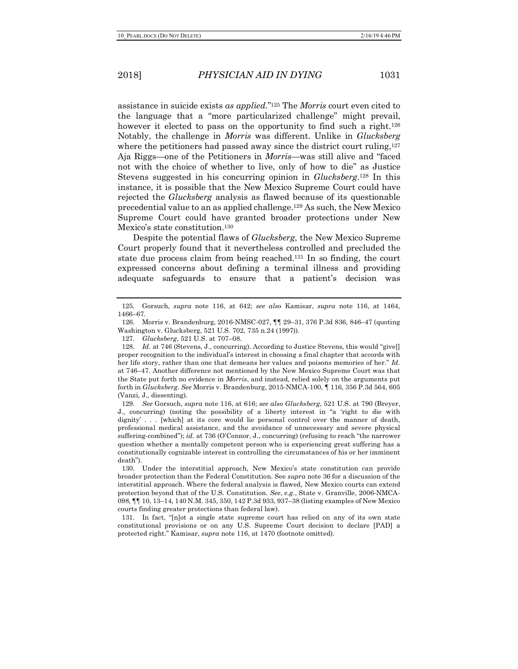assistance in suicide exists *as applied*."125 The *Morris* court even cited to the language that a "more particularized challenge" might prevail, however it elected to pass on the opportunity to find such a right.<sup>126</sup> Notably, the challenge in *Morris* was different. Unlike in *Glucksberg* where the petitioners had passed away since the district court ruling,<sup>127</sup> Aja Riggs—one of the Petitioners in *Morris*—was still alive and "faced not with the choice of whether to live, only of how to die" as Justice Stevens suggested in his concurring opinion in *Glucksberg*.128 In this instance, it is possible that the New Mexico Supreme Court could have rejected the *Glucksberg* analysis as flawed because of its questionable precedential value to an as applied challenge.129 As such, the New Mexico Supreme Court could have granted broader protections under New Mexico's state constitution.130

Despite the potential flaws of *Glucksberg*, the New Mexico Supreme Court properly found that it nevertheless controlled and precluded the state due process claim from being reached.131 In so finding, the court expressed concerns about defining a terminal illness and providing adequate safeguards to ensure that a patient's decision was

<sup>125.</sup> Gorsuch, *supra* note 116, at 642; *see also* Kamisar, *supra* note 116, at 1464, 1466–67.

<sup>126.</sup> Morris v. Brandenburg, 2016-NMSC-027, ¶¶ 29–31, 376 P.3d 836, 846–47 (quoting Washington v. Glucksberg, 521 U.S. 702, 735 n.24 (1997)).

<sup>127.</sup> *Glucksberg*, 521 U.S. at 707–08.

<sup>128.</sup> *Id.* at 746 (Stevens, J., concurring). According to Justice Stevens, this would "give[] proper recognition to the individual's interest in choosing a final chapter that accords with her life story, rather than one that demeans her values and poisons memories of her." *Id.* at 746–47. Another difference not mentioned by the New Mexico Supreme Court was that the State put forth no evidence in *Morris*, and instead, relied solely on the arguments put forth in *Glucksberg*. *See* Morris v. Brandenburg, 2015-NMCA-100, ¶ 116, 356 P.3d 564, 605 (Vanzi, J., dissenting).

<sup>129.</sup> *See* Gorsuch, *supra* note 116, at 616; *see also Glucksberg*, 521 U.S. at 790 (Breyer, J., concurring) (noting the possibility of a liberty interest in "a 'right to die with dignity' . . . [which] at its core would lie personal control over the manner of death, professional medical assistance, and the avoidance of unnecessary and severe physical suffering-combined"); *id.* at 736 (O'Connor, J., concurring) (refusing to reach "the narrower question whether a mentally competent person who is experiencing great suffering has a constitutionally cognizable interest in controlling the circumstances of his or her imminent death").

<sup>130.</sup> Under the interstitial approach, New Mexico's state constitution can provide broader protection than the Federal Constitution. See *supra* note 36 for a discussion of the interstitial approach. Where the federal analysis is flawed, New Mexico courts can extend protection beyond that of the U.S. Constitution. *See*, *e.g.*, State v. Granville, 2006-NMCA-098, ¶¶ 10, 13–14, 140 N.M. 345, 350, 142 P.3d 933, 937–38 (listing examples of New Mexico courts finding greater protections than federal law).

<sup>131.</sup> In fact, "[n]ot a single state supreme court has relied on any of its own state constitutional provisions or on any U.S. Supreme Court decision to declare [PAD] a protected right." Kamisar, *supra* note 116, at 1470 (footnote omitted).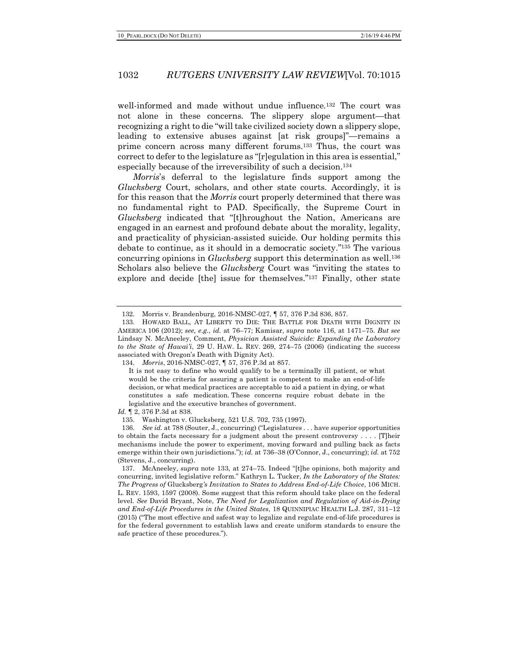well-informed and made without undue influence.132 The court was not alone in these concerns. The slippery slope argument—that recognizing a right to die "will take civilized society down a slippery slope, leading to extensive abuses against [at risk groups]"—remains a prime concern across many different forums.133 Thus, the court was correct to defer to the legislature as "[r]egulation in this area is essential," especially because of the irreversibility of such a decision.134

*Morris*'s deferral to the legislature finds support among the *Glucksberg* Court, scholars, and other state courts. Accordingly, it is for this reason that the *Morris* court properly determined that there was no fundamental right to PAD. Specifically, the Supreme Court in *Glucksberg* indicated that "[t]hroughout the Nation, Americans are engaged in an earnest and profound debate about the morality, legality, and practicality of physician-assisted suicide. Our holding permits this debate to continue, as it should in a democratic society."135 The various concurring opinions in *Glucksberg* support this determination as well.136 Scholars also believe the *Glucksberg* Court was "inviting the states to explore and decide [the] issue for themselves."137 Finally, other state

*Id.* ¶ 2, 376 P.3d at 838.

<sup>132.</sup> Morris v. Brandenburg, 2016-NMSC-027, ¶ 57, 376 P.3d 836, 857.

<sup>133.</sup> HOWARD BALL, AT LIBERTY TO DIE: THE BATTLE FOR DEATH WITH DIGNITY IN AMERICA 106 (2012); *see, e.g.*, *id.* at 76–77; Kamisar, *supra* note 116, at 1471–75. *But see*  Lindsay N. McAneeley, Comment, *Physician Assisted Suicide: Expanding the Laboratory to the State of Hawai'i*, 29 U. HAW. L. REV. 269, 274–75 (2006) (indicating the success associated with Oregon's Death with Dignity Act).

<sup>134.</sup> *Morris*, 2016-NMSC-027, ¶ 57, 376 P.3d at 857.

It is not easy to define who would qualify to be a terminally ill patient, or what would be the criteria for assuring a patient is competent to make an end-of-life decision, or what medical practices are acceptable to aid a patient in dying, or what constitutes a safe medication. These concerns require robust debate in the legislative and the executive branches of government.

<sup>135.</sup> Washington v. Glucksberg, 521 U.S. 702, 735 (1997).

<sup>136.</sup> *See id.* at 788 (Souter, J., concurring) ("Legislatures . . . have superior opportunities to obtain the facts necessary for a judgment about the present controversy . . . . [T]heir mechanisms include the power to experiment, moving forward and pulling back as facts emerge within their own jurisdictions."); *id.* at 736–38 (O'Connor, J., concurring); *id.* at 752 (Stevens, J., concurring).

<sup>137.</sup> McAneeley, *supra* note 133, at 274–75. Indeed "[t]he opinions, both majority and concurring, invited legislative reform." Kathryn L. Tucker, *In the Laboratory of the States: The Progress of* Glucksberg*'s Invitation to States to Address End-of-Life Choice*, 106 MICH. L. REV. 1593, 1597 (2008). Some suggest that this reform should take place on the federal level. *See* David Bryant, Note, *The Need for Legalization and Regulation of Aid-in-Dying and End-of-Life Procedures in the United States*, 18 QUINNIPIAC HEALTH L.J. 287, 311–12 (2015) ("The most effective and safest way to legalize and regulate end-of-life procedures is for the federal government to establish laws and create uniform standards to ensure the safe practice of these procedures.").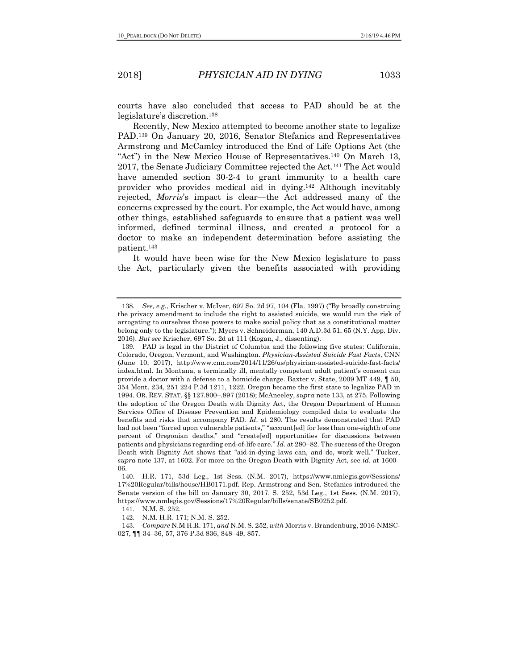courts have also concluded that access to PAD should be at the legislature's discretion.138

Recently, New Mexico attempted to become another state to legalize PAD.139 On January 20, 2016, Senator Stefanics and Representatives Armstrong and McCamley introduced the End of Life Options Act (the "Act") in the New Mexico House of Representatives.<sup>140</sup> On March 13, 2017, the Senate Judiciary Committee rejected the Act.141 The Act would have amended section 30-2-4 to grant immunity to a health care provider who provides medical aid in dying.142 Although inevitably rejected, *Morris*'s impact is clear—the Act addressed many of the concerns expressed by the court. For example, the Act would have, among other things, established safeguards to ensure that a patient was well informed, defined terminal illness, and created a protocol for a doctor to make an independent determination before assisting the patient.143

It would have been wise for the New Mexico legislature to pass the Act, particularly given the benefits associated with providing

<sup>138.</sup> *See, e.g.*, Krischer v. McIver, 697 So. 2d 97, 104 (Fla. 1997) ("By broadly construing the privacy amendment to include the right to assisted suicide, we would run the risk of arrogating to ourselves those powers to make social policy that as a constitutional matter belong only to the legislature."); Myers v. Schneiderman, 140 A.D.3d 51, 65 (N.Y. App. Div. 2016). *But see* Krischer, 697 So. 2d at 111 (Kogan, J., dissenting).

<sup>139.</sup> PAD is legal in the District of Columbia and the following five states: California, Colorado, Oregon, Vermont, and Washington. *Physician-Assisted Suicide Fast Facts*, CNN (June 10, 2017), http://www.cnn.com/2014/11/26/us/physician-assisted-suicide-fast-facts/ index.html. In Montana, a terminally ill, mentally competent adult patient's consent can provide a doctor with a defense to a homicide charge. Baxter v. State, 2009 MT 449, ¶ 50, 354 Mont. 234, 251 224 P.3d 1211, 1222. Oregon became the first state to legalize PAD in 1994. OR. REV. STAT. §§ 127.800–.897 (2018); McAneeley, *supra* note 133, at 275. Following the adoption of the Oregon Death with Dignity Act, the Oregon Department of Human Services Office of Disease Prevention and Epidemiology compiled data to evaluate the benefits and risks that accompany PAD. *Id.* at 280. The results demonstrated that PAD had not been "forced upon vulnerable patients," "account[ed] for less than one-eighth of one percent of Oregonian deaths," and "create[ed] opportunities for discussions between patients and physicians regarding end-of-life care." *Id.* at 280–82. The success of the Oregon Death with Dignity Act shows that "aid-in-dying laws can, and do, work well." Tucker, *supra* note 137, at 1602. For more on the Oregon Death with Dignity Act, see *id.* at 1600– 06.

<sup>140.</sup> H.R. 171, 53d Leg., 1st Sess. (N.M. 2017), https://www.nmlegis.gov/Sessions/ 17%20Regular/bills/house/HB0171.pdf. Rep. Armstrong and Sen. Stefanics introduced the Senate version of the bill on January 30, 2017. S. 252, 53d Leg., 1st Sess. (N.M. 2017), https://www.nmlegis.gov/Sessions/17%20Regular/bills/senate/SB0252.pdf.

<sup>141.</sup> N.M. S. 252.

<sup>142.</sup> N.M. H.R. 171; N.M. S. 252.

<sup>143.</sup> *Compare* N.M H.R. 171, *and* N.M. S. 252, *with* Morris v. Brandenburg, 2016-NMSC-027, ¶¶ 34–36, 57, 376 P.3d 836, 848–49, 857.